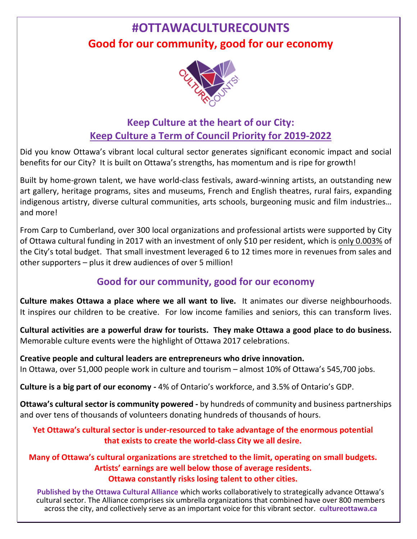# **#OTTAWACULTURECOUNTS Good for our community, good for our economy**



# **Keep Culture at the heart of our City: Keep Culture a Term of Council Priority for 2019-2022**

Did you know Ottawa's vibrant local cultural sector generates significant economic impact and social benefits for our City? It is built on Ottawa's strengths, has momentum and is ripe for growth!

Built by home-grown talent, we have world-class festivals, award-winning artists, an outstanding new art gallery, heritage programs, sites and museums, French and English theatres, rural fairs, expanding indigenous artistry, diverse cultural communities, arts schools, burgeoning music and film industries… and more!

From Carp to Cumberland, over 300 local organizations and professional artists were supported by City of Ottawa cultural funding in 2017 with an investment of only \$10 per resident, which is only 0.003% of the City's total budget. That small investment leveraged 6 to 12 times more in revenues from sales and other supporters – plus it drew audiences of over 5 million!

## **Good for our community, good for our economy**

**Culture makes Ottawa a place where we all want to live.** It animates our diverse neighbourhoods. It inspires our children to be creative. For low income families and seniors, this can transform lives.

**Cultural activities are a powerful draw for tourists. They make Ottawa a good place to do business.** Memorable culture events were the highlight of Ottawa 2017 celebrations.

**Creative people and cultural leaders are entrepreneurs who drive innovation.** In Ottawa, over 51,000 people work in culture and tourism – almost 10% of Ottawa's 545,700 jobs.

**Culture is a big part of our economy -** 4% of Ontario's workforce, and 3.5% of Ontario's GDP.

**Ottawa's cultural sector is community powered -** by hundreds of community and business partnerships and over tens of thousands of volunteers donating hundreds of thousands of hours.

**Yet Ottawa's cultural sector is under-resourced to take advantage of the enormous potential that exists to create the world-class City we all desire.**

**Many of Ottawa's cultural organizations are stretched to the limit, operating on small budgets. Artists' earnings are well below those of average residents. Ottawa constantly risks losing talent to other cities.**

**Published by the Ottawa Cultural Alliance** which works collaboratively to strategically advance Ottawa's cultural sector. The Alliance comprises six umbrella organizations that combined have over 800 members across the city, and collectively serve as an important voice for this vibrant sector. **[cultureottawa.ca](http://www.cultureottawa.ca/)**